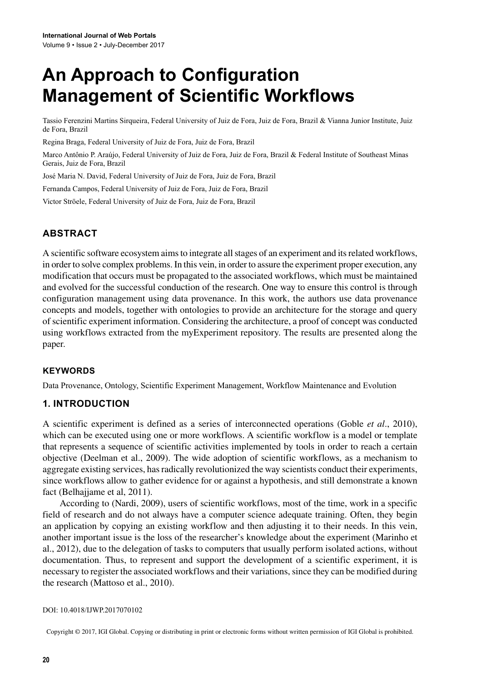# **An Approach to Configuration Management of Scientific Workflows**

Tassio Ferenzini Martins Sirqueira, Federal University of Juiz de Fora, Juiz de Fora, Brazil & Vianna Junior Institute, Juiz de Fora, Brazil

Regina Braga, Federal University of Juiz de Fora, Juiz de Fora, Brazil

Marco Antônio P. Araújo, Federal University of Juiz de Fora, Juiz de Fora, Brazil & Federal Institute of Southeast Minas Gerais, Juiz de Fora, Brazil

José Maria N. David, Federal University of Juiz de Fora, Juiz de Fora, Brazil

Fernanda Campos, Federal University of Juiz de Fora, Juiz de Fora, Brazil

Victor Ströele, Federal University of Juiz de Fora, Juiz de Fora, Brazil

# **ABSTRACT**

A scientific software ecosystem aimsto integrate allstages of an experiment and itsrelated workflows, in order to solve complex problems. In this vein, in order to assure the experiment proper execution, any modification that occurs must be propagated to the associated workflows, which must be maintained and evolved for the successful conduction of the research. One way to ensure this control is through configuration management using data provenance. In this work, the authors use data provenance concepts and models, together with ontologies to provide an architecture for the storage and query of scientific experiment information. Considering the architecture, a proof of concept was conducted using workflows extracted from the myExperiment repository. The results are presented along the paper.

#### **Keywords**

Data Provenance, Ontology, Scientific Experiment Management, Workflow Maintenance and Evolution

#### **1. INTRODUCTION**

A scientific experiment is defined as a series of interconnected operations (Goble *et al*., 2010), which can be executed using one or more workflows. A scientific workflow is a model or template that represents a sequence of scientific activities implemented by tools in order to reach a certain objective (Deelman et al., 2009). The wide adoption of scientific workflows, as a mechanism to aggregate existing services, hasradically revolutionized the way scientists conduct their experiments, since workflows allow to gather evidence for or against a hypothesis, and still demonstrate a known fact (Belhajjame et al, 2011).

According to (Nardi, 2009), users of scientific workflows, most of the time, work in a specific field of research and do not always have a computer science adequate training. Often, they begin an application by copying an existing workflow and then adjusting it to their needs. In this vein, another important issue is the loss of the researcher's knowledge about the experiment (Marinho et al., 2012), due to the delegation of tasks to computers that usually perform isolated actions, without documentation. Thus, to represent and support the development of a scientific experiment, it is necessary to register the associated workflows and their variations, since they can be modified during the research (Mattoso et al., 2010).

#### DOI: 10.4018/IJWP.2017070102

Copyright © 2017, IGI Global. Copying or distributing in print or electronic forms without written permission of IGI Global is prohibited.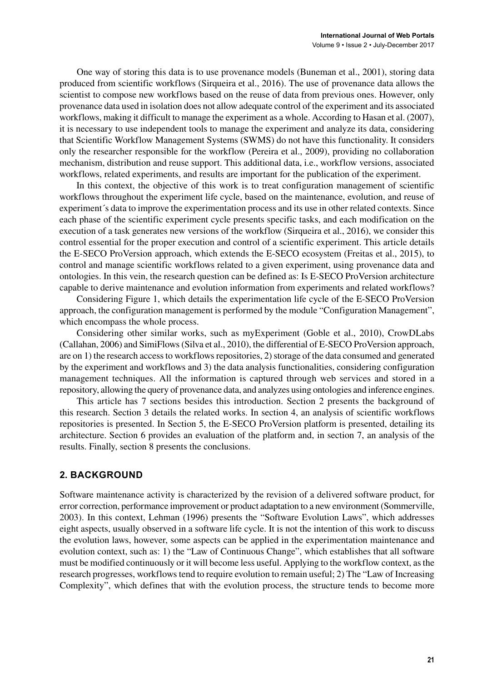One way of storing this data is to use provenance models (Buneman et al., 2001), storing data produced from scientific workflows (Sirqueira et al., 2016). The use of provenance data allows the scientist to compose new workflows based on the reuse of data from previous ones. However, only provenance data used in isolation does not allow adequate control of the experiment and its associated workflows, making it difficult to manage the experiment as a whole. According to Hasan et al. (2007), it is necessary to use independent tools to manage the experiment and analyze its data, considering that Scientific Workflow Management Systems (SWMS) do not have this functionality. It considers only the researcher responsible for the workflow (Pereira et al., 2009), providing no collaboration mechanism, distribution and reuse support. This additional data, i.e., workflow versions, associated workflows, related experiments, and results are important for the publication of the experiment.

In this context, the objective of this work is to treat configuration management of scientific workflows throughout the experiment life cycle, based on the maintenance, evolution, and reuse of experiment´s data to improve the experimentation process and its use in other related contexts. Since each phase of the scientific experiment cycle presents specific tasks, and each modification on the execution of a task generates new versions of the workflow (Sirqueira et al., 2016), we consider this control essential for the proper execution and control of a scientific experiment. This article details the E-SECO ProVersion approach, which extends the E-SECO ecosystem (Freitas et al., 2015), to control and manage scientific workflows related to a given experiment, using provenance data and ontologies. In this vein, the research question can be defined as: Is E-SECO ProVersion architecture capable to derive maintenance and evolution information from experiments and related workflows?

Considering Figure 1, which details the experimentation life cycle of the E-SECO ProVersion approach, the configuration management is performed by the module "Configuration Management", which encompass the whole process.

Considering other similar works, such as myExperiment (Goble et al., 2010), CrowDLabs (Callahan, 2006) and SimiFlows(Silva et al., 2010), the differential of E-SECO ProVersion approach, are on 1) the research access to workflows repositories, 2) storage of the data consumed and generated by the experiment and workflows and 3) the data analysis functionalities, considering configuration management techniques. All the information is captured through web services and stored in a repository, allowing the query of provenance data, and analyzes using ontologies and inference engines.

This article has 7 sections besides this introduction. Section 2 presents the background of this research. Section 3 details the related works. In section 4, an analysis of scientific workflows repositories is presented. In Section 5, the E-SECO ProVersion platform is presented, detailing its architecture. Section 6 provides an evaluation of the platform and, in section 7, an analysis of the results. Finally, section 8 presents the conclusions.

#### **2. BACKGROUND**

Software maintenance activity is characterized by the revision of a delivered software product, for error correction, performance improvement or product adaptation to a new environment (Sommerville, 2003). In this context, Lehman (1996) presents the "Software Evolution Laws", which addresses eight aspects, usually observed in a software life cycle. It is not the intention of this work to discuss the evolution laws, however, some aspects can be applied in the experimentation maintenance and evolution context, such as: 1) the "Law of Continuous Change", which establishes that all software must be modified continuously or it will become less useful. Applying to the workflow context, asthe research progresses, workflowstend to require evolution to remain useful; 2) The "Law of Increasing Complexity", which defines that with the evolution process, the structure tends to become more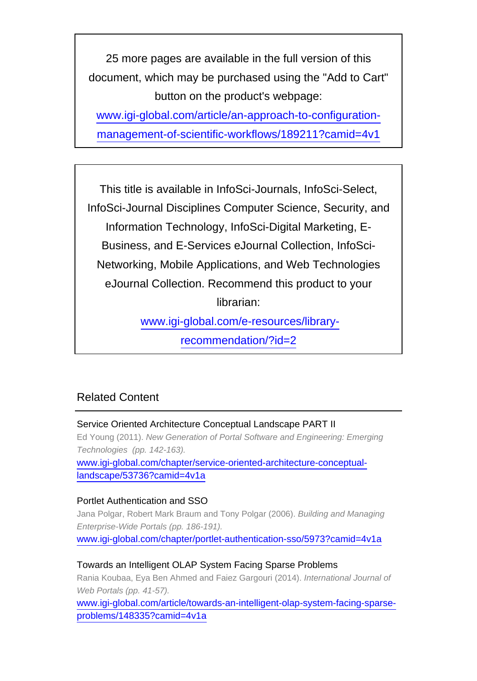25 more pages are available in the full version of this document, which may be purchased using the "Add to Cart" button on the product's webpage:

[www.igi-global.com/article/an-approach-to-configuration](http://www.igi-global.com/article/an-approach-to-configuration-management-of-scientific-workflows/189211?camid=4v1)[management-of-scientific-workflows/189211?camid=4v1](http://www.igi-global.com/article/an-approach-to-configuration-management-of-scientific-workflows/189211?camid=4v1)

This title is available in InfoSci-Journals, InfoSci-Select, InfoSci-Journal Disciplines Computer Science, Security, and Information Technology, InfoSci-Digital Marketing, E-Business, and E-Services eJournal Collection, InfoSci-Networking, Mobile Applications, and Web Technologies eJournal Collection. Recommend this product to your librarian:

[www.igi-global.com/e-resources/library-](http://www.igi-global.com/e-resources/library-recommendation/?id=2)

[recommendation/?id=2](http://www.igi-global.com/e-resources/library-recommendation/?id=2)

# Related Content

Service Oriented Architecture Conceptual Landscape PART II Ed Young (2011). New Generation of Portal Software and Engineering: Emerging Technologies (pp. 142-163). [www.igi-global.com/chapter/service-oriented-architecture-conceptual](http://www.igi-global.com/chapter/service-oriented-architecture-conceptual-landscape/53736?camid=4v1a)[landscape/53736?camid=4v1a](http://www.igi-global.com/chapter/service-oriented-architecture-conceptual-landscape/53736?camid=4v1a)

## Portlet Authentication and SSO

Jana Polgar, Robert Mark Braum and Tony Polgar (2006). Building and Managing Enterprise-Wide Portals (pp. 186-191). [www.igi-global.com/chapter/portlet-authentication-sso/5973?camid=4v1a](http://www.igi-global.com/chapter/portlet-authentication-sso/5973?camid=4v1a)

## Towards an Intelligent OLAP System Facing Sparse Problems

Rania Koubaa, Eya Ben Ahmed and Faiez Gargouri (2014). International Journal of Web Portals (pp. 41-57).

[www.igi-global.com/article/towards-an-intelligent-olap-system-facing-sparse](http://www.igi-global.com/article/towards-an-intelligent-olap-system-facing-sparse-problems/148335?camid=4v1a)[problems/148335?camid=4v1a](http://www.igi-global.com/article/towards-an-intelligent-olap-system-facing-sparse-problems/148335?camid=4v1a)